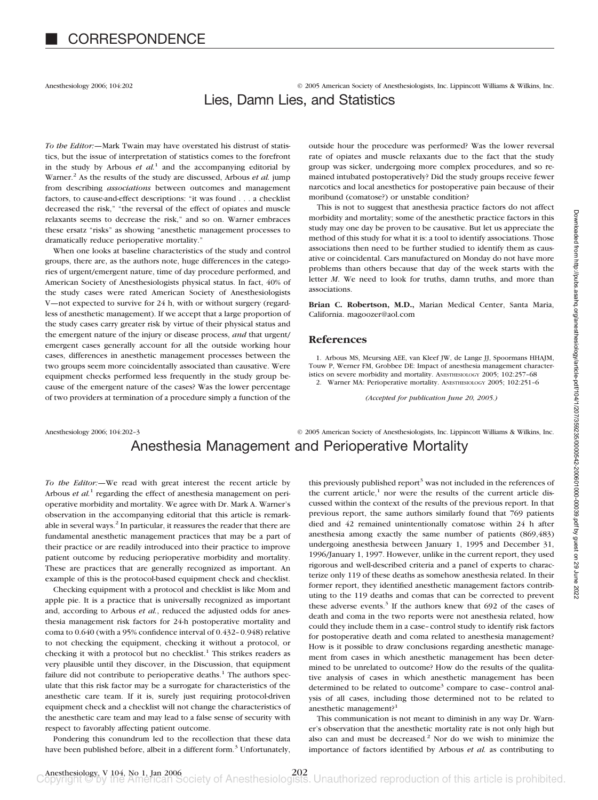Anesthesiology 2006; 104:202 © 2005 American Society of Anesthesiologists, Inc. Lippincott Williams & Wilkins, Inc.

## Lies, Damn Lies, and Statistics

*To the Editor:—*Mark Twain may have overstated his distrust of statistics, but the issue of interpretation of statistics comes to the forefront in the study by Arbous *et al.*<sup>1</sup> and the accompanying editorial by Warner.<sup>2</sup> As the results of the study are discussed, Arbous *et al.* jump from describing *associations* between outcomes and management factors, to cause-and-effect descriptions: "it was found . . . a checklist decreased the risk," "the reversal of the effect of opiates and muscle relaxants seems to decrease the risk," and so on. Warner embraces these ersatz "risks" as showing "anesthetic management processes to dramatically reduce perioperative mortality."

When one looks at baseline characteristics of the study and control groups, there are, as the authors note, huge differences in the categories of urgent/emergent nature, time of day procedure performed, and American Society of Anesthesiologists physical status. In fact, 40% of the study cases were rated American Society of Anesthesiologists V—not expected to survive for 24 h, with or without surgery (regardless of anesthetic management). If we accept that a large proportion of the study cases carry greater risk by virtue of their physical status and the emergent nature of the injury or disease process, *and* that urgent/ emergent cases generally account for all the outside working hour cases, differences in anesthetic management processes between the two groups seem more coincidentally associated than causative. Were equipment checks performed less frequently in the study group because of the emergent nature of the cases? Was the lower percentage of two providers at termination of a procedure simply a function of the

outside hour the procedure was performed? Was the lower reversal rate of opiates and muscle relaxants due to the fact that the study group was sicker, undergoing more complex procedures, and so remained intubated postoperatively? Did the study groups receive fewer narcotics and local anesthetics for postoperative pain because of their moribund (comatose?) or unstable condition?

This is not to suggest that anesthesia practice factors do not affect morbidity and mortality; some of the anesthetic practice factors in this study may one day be proven to be causative. But let us appreciate the method of this study for what it is: a tool to identify associations. Those associations then need to be further studied to identify them as causative or coincidental. Cars manufactured on Monday do not have more problems than others because that day of the week starts with the letter *M*. We need to look for truths, damn truths, and more than associations.

**Brian C. Robertson, M.D.,** Marian Medical Center, Santa Maria, California. magoozer@aol.com

#### **References**

1. Arbous MS, Meursing AEE, van Kleef JW, de Lange JJ, Spoormans HHAJM, Touw P, Werner FM, Grobbee DE: Impact of anesthesia management characteristics on severe morbidity and mortality. ANESTHESIOLOGY 2005; 102:257–68 2. Warner MA: Perioperative mortality. ANESTHESIOLOGY 2005; 102:251–6

*(Accepted for publication June 20, 2005.)*

## Anesthesiology 2006; 104:202–3 © 2005 American Society of Anesthesiologists, Inc. Lippincott Williams & Wilkins, Inc. Anesthesia Management and Perioperative Mortality

*To the Editor:—*We read with great interest the recent article by Arbous *et al.*<sup>1</sup> regarding the effect of anesthesia management on perioperative morbidity and mortality. We agree with Dr. Mark A. Warner's observation in the accompanying editorial that this article is remarkable in several ways.<sup>2</sup> In particular, it reassures the reader that there are fundamental anesthetic management practices that may be a part of their practice or are readily introduced into their practice to improve patient outcome by reducing perioperative morbidity and mortality. These are practices that are generally recognized as important. An example of this is the protocol-based equipment check and checklist.

Checking equipment with a protocol and checklist is like Mom and apple pie. It is a practice that is universally recognized as important and, according to Arbous *et al.*, reduced the adjusted odds for anesthesia management risk factors for 24-h postoperative mortality and coma to 0.640 (with a 95% confidence interval of 0.432–0.948) relative to not checking the equipment, checking it without a protocol, or checking it with a protocol but no checklist.<sup>1</sup> This strikes readers as very plausible until they discover, in the Discussion, that equipment failure did not contribute to perioperative deaths.<sup>1</sup> The authors speculate that this risk factor may be a surrogate for characteristics of the anesthetic care team. If it is, surely just requiring protocol-driven equipment check and a checklist will not change the characteristics of the anesthetic care team and may lead to a false sense of security with respect to favorably affecting patient outcome.

Pondering this conundrum led to the recollection that these data have been published before, albeit in a different form.<sup>3</sup> Unfortunately,

this previously published report<sup>3</sup> was not included in the references of the current article, $1$  nor were the results of the current article discussed within the context of the results of the previous report. In that previous report, the same authors similarly found that 769 patients died and 42 remained unintentionally comatose within 24 h after anesthesia among exactly the same number of patients (869,483) undergoing anesthesia between January 1, 1995 and December 31, 1996/January 1, 1997. However, unlike in the current report, they used rigorous and well-described criteria and a panel of experts to characterize only 119 of these deaths as somehow anesthesia related. In their former report, they identified anesthetic management factors contributing to the 119 deaths and comas that can be corrected to prevent these adverse events.<sup>3</sup> If the authors knew that 692 of the cases of death and coma in the two reports were not anesthesia related, how could they include them in a case–control study to identify risk factors for postoperative death and coma related to anesthesia management? How is it possible to draw conclusions regarding anesthetic management from cases in which anesthetic management has been determined to be unrelated to outcome? How do the results of the qualitative analysis of cases in which anesthetic management has been determined to be related to outcome<sup>3</sup> compare to case-control analysis of all cases, including those determined not to be related to anesthetic management?<sup>1</sup>

This communication is not meant to diminish in any way Dr. Warner's observation that the anesthetic mortality rate is not only high but also can and must be decreased. $2$  Nor do we wish to minimize the importance of factors identified by Arbous *et al.* as contributing to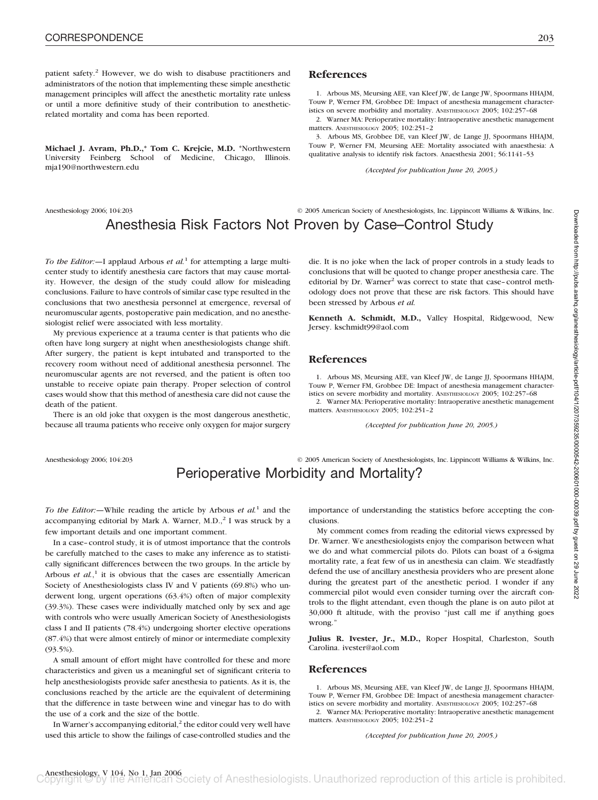patient safety.<sup>2</sup> However, we do wish to disabuse practitioners and administrators of the notion that implementing these simple anesthetic management principles will affect the anesthetic mortality rate unless or until a more definitive study of their contribution to anestheticrelated mortality and coma has been reported.

**Michael J. Avram, Ph.D.,\* Tom C. Krejcie, M.D.** \*Northwestern University Feinberg School of Medicine, Chicago, Illinois. mja190@northwestern.edu

#### **References**

1. Arbous MS, Meursing AEE, van Kleef JW, de Lange JW, Spoormans HHAJM, Touw P, Werner FM, Grobbee DE: Impact of anesthesia management characteristics on severe morbidity and mortality. ANESTHESIOLOGY 2005; 102:257–68

2. Warner MA: Perioperative mortality: Intraoperative anesthetic management matters. ANESTHESIOLOGY 2005; 102:251–2

3. Arbous MS, Grobbee DE, van Kleef JW, de Lange JJ, Spoormans HHAJM, Touw P, Werner FM, Meursing AEE: Mortality associated with anaesthesia: A qualitative analysis to identify risk factors. Anaesthesia 2001; 56:1141–53

*(Accepted for publication June 20, 2005.)*

Anesthesiology 2006; 104:203 © 2005 American Society of Anesthesiologists, Inc. Lippincott Williams & Wilkins, Inc.

# Anesthesia Risk Factors Not Proven by Case–Control Study

*To the Editor:*—I applaud Arbous *et al.*<sup>1</sup> for attempting a large multicenter study to identify anesthesia care factors that may cause mortality. However, the design of the study could allow for misleading conclusions. Failure to have controls of similar case type resulted in the conclusions that two anesthesia personnel at emergence, reversal of neuromuscular agents, postoperative pain medication, and no anesthesiologist relief were associated with less mortality.

My previous experience at a trauma center is that patients who die often have long surgery at night when anesthesiologists change shift. After surgery, the patient is kept intubated and transported to the recovery room without need of additional anesthesia personnel. The neuromuscular agents are not reversed, and the patient is often too unstable to receive opiate pain therapy. Proper selection of control cases would show that this method of anesthesia care did not cause the death of the patient.

There is an old joke that oxygen is the most dangerous anesthetic, because all trauma patients who receive only oxygen for major surgery die. It is no joke when the lack of proper controls in a study leads to conclusions that will be quoted to change proper anesthesia care. The editorial by Dr. Warner<sup>2</sup> was correct to state that case-control methodology does not prove that these are risk factors. This should have been stressed by Arbous *et al.*

**Kenneth A. Schmidt, M.D.,** Valley Hospital, Ridgewood, New Jersey. kschmidt99@aol.com

### **References**

1. Arbous MS, Meursing AEE, van Kleef JW, de Lange JJ, Spoormans HHAJM, Touw P, Werner FM, Grobbee DE: Impact of anesthesia management characteristics on severe morbidity and mortality. ANESTHESIOLOGY 2005; 102:257–68 2. Warner MA: Perioperative mortality: Intraoperative anesthetic management matters. ANESTHESIOLOGY 2005; 102:251–2

*(Accepted for publication June 20, 2005.)*

Anesthesiology 2006; 104:203 © 2005 American Society of Anesthesiologists, Inc. Lippincott Williams & Wilkins, Inc.

# Perioperative Morbidity and Mortality?

*To the Editor:—*While reading the article by Arbous *et al.*<sup>1</sup> and the accompanying editorial by Mark A. Warner, M.D.,<sup>2</sup> I was struck by a few important details and one important comment.

In a case–control study, it is of utmost importance that the controls be carefully matched to the cases to make any inference as to statistically significant differences between the two groups. In the article by Arbous *et al.*,<sup>1</sup> it is obvious that the cases are essentially American Society of Anesthesiologists class IV and V patients (69.8%) who underwent long, urgent operations (63.4%) often of major complexity (39.3%). These cases were individually matched only by sex and age with controls who were usually American Society of Anesthesiologists class I and II patients (78.4%) undergoing shorter elective operations (87.4%) that were almost entirely of minor or intermediate complexity (93.5%).

A small amount of effort might have controlled for these and more characteristics and given us a meaningful set of significant criteria to help anesthesiologists provide safer anesthesia to patients. As it is, the conclusions reached by the article are the equivalent of determining that the difference in taste between wine and vinegar has to do with the use of a cork and the size of the bottle.

In Warner's accompanying editorial, $<sup>2</sup>$  the editor could very well have</sup> used this article to show the failings of case-controlled studies and the importance of understanding the statistics before accepting the conclusions.

My comment comes from reading the editorial views expressed by Dr. Warner. We anesthesiologists enjoy the comparison between what we do and what commercial pilots do. Pilots can boast of a 6-sigma mortality rate, a feat few of us in anesthesia can claim. We steadfastly defend the use of ancillary anesthesia providers who are present alone during the greatest part of the anesthetic period. I wonder if any commercial pilot would even consider turning over the aircraft controls to the flight attendant, even though the plane is on auto pilot at 30,000 ft altitude, with the proviso "just call me if anything goes wrong."

**Julius R. Ivester, Jr., M.D.,** Roper Hospital, Charleston, South Carolina. ivester@aol.com

### **References**

1. Arbous MS, Meursing AEE, van Kleef JW, de Lange JJ, Spoormans HHAJM, Touw P, Werner FM, Grobbee DE: Impact of anesthesia management characteristics on severe morbidity and mortality. ANESTHESIOLOGY 2005; 102:257–68

2. Warner MA: Perioperative mortality: Intraoperative anesthetic management matters. ANESTHESIOLOGY 2005; 102:251–2

#### *(Accepted for publication June 20, 2005.)*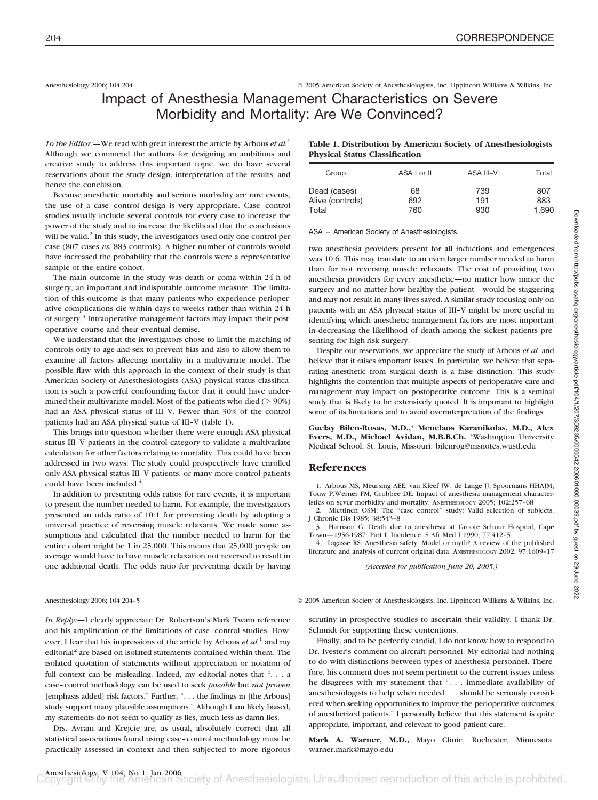Anesthesiology 2006; 104:204 © 2005 American Society of Anesthesiologists, Inc. Lippincott Williams & Wilkins, Inc.

## Impact of Anesthesia Management Characteristics on Severe Morbidity and Mortality: Are We Convinced?

*To the Editor:—*We read with great interest the article by Arbous *et al.*<sup>1</sup> Although we commend the authors for designing an ambitious and creative study to address this important topic, we do have several reservations about the study design, interpretation of the results, and hence the conclusion.

Because anesthetic mortality and serious morbidity are rare events, the use of a case–control design is very appropriate. Case–control studies usually include several controls for every case to increase the power of the study and to increase the likelihood that the conclusions will be valid.<sup>2</sup> In this study, the investigators used only one control per case (807 cases *vs.* 883 controls). A higher number of controls would have increased the probability that the controls were a representative sample of the entire cohort.

The main outcome in the study was death or coma within 24 h of surgery, an important and indisputable outcome measure. The limitation of this outcome is that many patients who experience perioperative complications die within days to weeks rather than within 24 h of surgery.3 Intraoperative management factors may impact their postoperative course and their eventual demise.

We understand that the investigators chose to limit the matching of controls only to age and sex to prevent bias and also to allow them to examine all factors affecting mortality in a multivariate model. The possible flaw with this approach in the context of their study is that American Society of Anesthesiologists (ASA) physical status classification is such a powerful confounding factor that it could have undermined their multivariate model. Most of the patients who died  $($  > 90%) had an ASA physical status of III–V. Fewer than 30% of the control patients had an ASA physical status of III–V (table 1).

This brings into question whether there were enough ASA physical status III–V patients in the control category to validate a multivariate calculation for other factors relating to mortality. This could have been addressed in two ways: The study could prospectively have enrolled only ASA physical status III–V patients, or many more control patients could have been included.<sup>4</sup>

In addition to presenting odds ratios for rare events, it is important to present the number needed to harm. For example, the investigators presented an odds ratio of 10:1 for preventing death by adopting a universal practice of reversing muscle relaxants. We made some assumptions and calculated that the number needed to harm for the entire cohort might be 1 in 25,000. This means that 25,000 people on average would have to have muscle relaxation not reversed to result in one additional death. The odds ratio for preventing death by having

*In Reply:—*I clearly appreciate Dr. Robertson's Mark Twain reference and his amplification of the limitations of case–control studies. However, I fear that his impressions of the article by Arbous *et al.*<sup>1</sup> and my editorial<sup>2</sup> are based on isolated statements contained within them. The isolated quotation of statements without appreciation or notation of full context can be misleading. Indeed, my editorial notes that ". . . a case–control methodology can be used to seek *possible* but *not proven* [emphasis added] risk factors." Further, ". . . the findings in [the Arbous] study support many plausible assumptions." Although I am likely biased, my statements do not seem to qualify as lies, much less as damn lies.

Drs. Avram and Krejcie are, as usual, absolutely correct that all statistical associations found using case–control methodology must be practically assessed in context and then subjected to more rigorous **Table 1. Distribution by American Society of Anesthesiologists Physical Status Classification**

| Group            | ASA I or II | ASA III-V | Total |
|------------------|-------------|-----------|-------|
| Dead (cases)     | 68          | 739       | 807   |
| Alive (controls) | 692         | 191       | 883   |
| Total            | 760         | 930       | 1.690 |

ASA - American Society of Anesthesiologists.

two anesthesia providers present for all inductions and emergences was 10:6. This may translate to an even larger number needed to harm than for not reversing muscle relaxants. The cost of providing two anesthesia providers for every anesthetic—no matter how minor the surgery and no matter how healthy the patient—would be staggering and may not result in many lives saved. A similar study focusing only on patients with an ASA physical status of III–V might be more useful in identifying which anesthetic management factors are most important in decreasing the likelihood of death among the sickest patients presenting for high-risk surgery.

Despite our reservations, we appreciate the study of Arbous *et al.* and believe that it raises important issues. In particular, we believe that separating anesthetic from surgical death is a false distinction. This study highlights the contention that multiple aspects of perioperative care and management may impact on postoperative outcome. This is a seminal study that is likely to be extensively quoted. It is important to highlight some of its limitations and to avoid overinterpretation of the findings.

**Guelay Bilen-Rosas, M.D.,\* Menelaos Karanikolas, M.D., Alex Evers, M.D., Michael Avidan, M.B.B.Ch.** \*Washington University Medical School, St. Louis, Missouri. bilenrog@msnotes.wustl.edu

#### **References**

1. Arbous MS, Meursing AEE, van Kleef JW, de Lange JJ, Spoormans HHAJM, Touw P,Werner FM, Grobbee DE: Impact of anesthesia management characteristics on sever morbidity and mortality. ANESTHESIOLOGY 2005; 102:257–68

2. Miettinen OSM: The "case control" study: Valid selection of subjects. J Chronic Dis 1985; 38:543–8

3. Harrison G: Death due to anesthesia at Groote Schuur Hospital, Cape Town—1956-1987: Part I. Incidence. S Afr Med J 1990; 77:412–5

4. Lagasse RS: Anesthesia safety: Model or myth? A review of the published literature and analysis of current original data. ANESTHESIOLOGY 2002; 97:1609–17

*(Accepted for publication June 20, 2005.)*

Anesthesiology 2006; 104:204-5 © 2005 American Society of Anesthesiologists, Inc. Lippincott Williams & Wilkins, Inc.

scrutiny in prospective studies to ascertain their validity. I thank Dr. Schmidt for supporting these contentions.

Finally, and to be perfectly candid, I do not know how to respond to Dr. Ivester's comment on aircraft personnel. My editorial had nothing to do with distinctions between types of anesthesia personnel. Therefore, his comment does not seem pertinent to the current issues unless he disagrees with my statement that ". . . immediate availability of anesthesiologists to help when needed... should be seriously considered when seeking opportunities to improve the perioperative outcomes of anesthetized patients." I personally believe that this statement is quite appropriate, important, and relevant to good patient care.

**Mark A. Warner, M.D.,** Mayo Clinic, Rochester, Minnesota. warner.mark@mayo.edu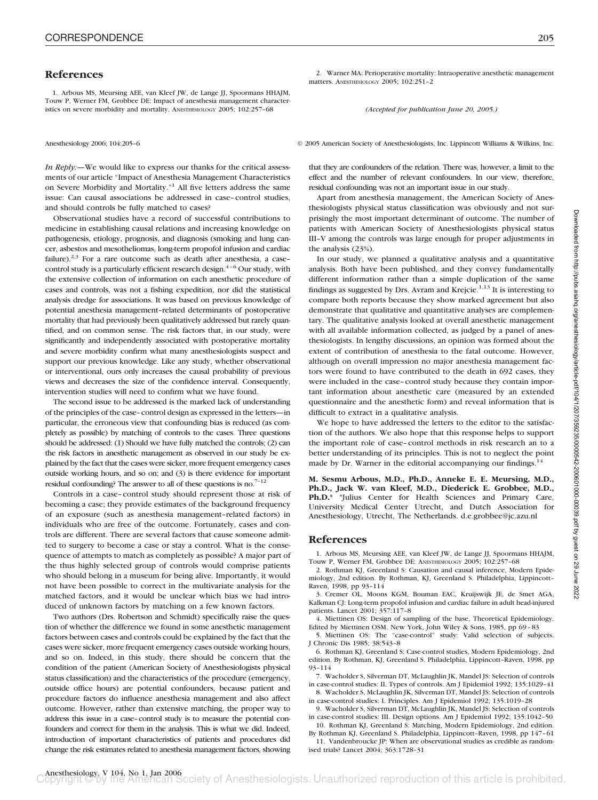#### **References**

1. Arbous MS, Meursing AEE, van Kleef JW, de Lange JJ, Spoormans HHAJM, Touw P, Werner FM, Grobbee DE: Impact of anesthesia management characteristics on severe morbidity and mortality. ANESTHESIOLOGY 2005; 102:257–68

*In Reply:—*We would like to express our thanks for the critical assessments of our article "Impact of Anesthesia Management Characteristics on Severe Morbidity and Mortality."1 All five letters address the same issue: Can causal associations be addressed in case–control studies, and should controls be fully matched to cases?

Observational studies have a record of successful contributions to medicine in establishing causal relations and increasing knowledge on pathogenesis, etiology, prognosis, and diagnosis (smoking and lung cancer, asbestos and mesotheliomas, long-term propofol infusion and cardiac failure).<sup>2,3</sup> For a rare outcome such as death after anesthesia, a casecontrol study is a particularly efficient research design. $4-6$  Our study, with the extensive collection of information on each anesthetic procedure of cases and controls, was not a fishing expedition, nor did the statistical analysis dredge for associations. It was based on previous knowledge of potential anesthesia management–related determinants of postoperative mortality that had previously been qualitatively addressed but rarely quantified, and on common sense. The risk factors that, in our study, were significantly and independently associated with postoperative mortality and severe morbidity confirm what many anesthesiologists suspect and support our previous knowledge. Like any study, whether observational or interventional, ours only increases the causal probability of previous views and decreases the size of the confidence interval. Consequently, intervention studies will need to confirm what we have found.

The second issue to be addressed is the marked lack of understanding of the principles of the case–control design as expressed in the letters—in particular, the erroneous view that confounding bias is reduced (as completely as possible) by matching of controls to the cases. Three questions should be addressed: (1) Should we have fully matched the controls; (2) can the risk factors in anesthetic management as observed in our study be explained by the fact that the cases were sicker, more frequent emergency cases outside working hours, and so on; and (3) is there evidence for important residual confounding? The answer to all of these questions is no.<sup>7-12</sup>

Controls in a case–control study should represent those at risk of becoming a case; they provide estimates of the background frequency of an exposure (such as anesthesia management–related factors) in individuals who are free of the outcome. Fortunately, cases and controls are different. There are several factors that cause someone admitted to surgery to become a case or stay a control. What is the consequence of attempts to match as completely as possible? A major part of the thus highly selected group of controls would comprise patients who should belong in a museum for being alive. Importantly, it would not have been possible to correct in the multivariate analysis for the matched factors, and it would be unclear which bias we had introduced of unknown factors by matching on a few known factors.

Two authors (Drs. Robertson and Schmidt) specifically raise the question of whether the difference we found in some anesthetic management factors between cases and controls could be explained by the fact that the cases were sicker, more frequent emergency cases outside working hours, and so on. Indeed, in this study, there should be concern that the condition of the patient (American Society of Anesthesiologists physical status classification) and the characteristics of the procedure (emergency, outside office hours) are potential confounders, because patient and procedure factors do influence anesthesia management and also affect outcome. However, rather than extensive matching, the proper way to address this issue in a case–control study is to measure the potential confounders and correct for them in the analysis. This is what we did. Indeed, introduction of important characteristics of patients and procedures did change the risk estimates related to anesthesia management factors, showing

2. Warner MA: Perioperative mortality: Intraoperative anesthetic management matters. ANESTHESIOLOGY 2005; 102:251–2

*(Accepted for publication June 20, 2005.)*

Anesthesiology 2006; 104:205–6 © 2005 American Society of Anesthesiologists, Inc. Lippincott Williams & Wilkins, Inc.

that they are confounders of the relation. There was, however, a limit to the effect and the number of relevant confounders. In our view, therefore, residual confounding was not an important issue in our study.

Apart from anesthesia management, the American Society of Anesthesiologists physical status classification was obviously and not surprisingly the most important determinant of outcome. The number of patients with American Society of Anesthesiologists physical status III–V among the controls was large enough for proper adjustments in the analysis (23%).

In our study, we planned a qualitative analysis and a quantitative analysis. Both have been published, and they convey fundamentally different information rather than a simple duplication of the same findings as suggested by Drs. Avram and Krejcie. $1,13$  It is interesting to compare both reports because they show marked agreement but also demonstrate that qualitative and quantitative analyses are complementary. The qualitative analysis looked at overall anesthetic management with all available information collected, as judged by a panel of anesthesiologists. In lengthy discussions, an opinion was formed about the extent of contribution of anesthesia to the fatal outcome. However, although on overall impression no major anesthesia management factors were found to have contributed to the death in 692 cases, they were included in the case–control study because they contain important information about anesthetic care (measured by an extended questionnaire and the anesthetic form) and reveal information that is difficult to extract in a qualitative analysis.

We hope to have addressed the letters to the editor to the satisfaction of the authors. We also hope that this response helps to support the important role of case–control methods in risk research an to a better understanding of its principles. This is not to neglect the point made by Dr. Warner in the editorial accompanying our findings. $14$ 

**M. Sesmu Arbous, M.D., Ph.D., Anneke E. E. Meursing, M.D., Ph.D., Jack W. van Kleef, M.D., Diederick E. Grobbee, M.D., Ph.D.\*** \*Julius Center for Health Sciences and Primary Care, University Medical Center Utrecht, and Dutch Association for Anesthesiology, Utrecht, The Netherlands. d.e.grobbee@jc.azu.nl

#### **References**

1. Arbous MS, Meursing AEE, van Kleef JW, de Lange JJ, Spoormans HHAJM, Touw P, Werner FM, Grobbee DE: ANESTHESIOLOGY 2005; 102:257–68

2. Rothman KJ, Greenland S: Causation and causal inference, Modern Epidemiology, 2nd edition. By Rothman, KJ, Greenland S. Philadelphia, Lippincott– Raven, 1998, pp 93–114

3. Cremer OL, Moons KGM, Bouman EAC, Kruijswijk JE, de Smet AGA, Kalkman CJ: Long-term propofol infusion and cardiac failure in adult head-injured patients. Lancet 2001; 357:117–8

4. Miettinen OS: Design of sampling of the base, Theoretical Epidemiology. Edited by Miettinen OSM. New York, John Wiley & Sons, 1985, pp 69–83

5. Miettinen OS: The "case-control" study: Valid selection of subjects. J Chronic Dis 1985; 38:543–8

6. Rothman KJ, Greenland S: Case-control studies, Modern Epidemiology, 2nd edition. By Rothman, KJ, Greenland S. Philadelphia, Lippincott–Raven, 1998, pp 93–114

7. Wacholder S, Silverman DT, McLaughlin JK, Mandel JS: Selection of controls in case-control studies: II. Types of controls. Am J Epidemiol 1992; 135:1029–41

8. Wacholder S, McLaughlin JK, Silverman DT, Mandel JS: Selection of controls in case-control studies: I. Principles. Am J Epidemiol 1992; 135:1019–28

9. Wacholder S, Silverman DT, McLaughlin JK, Mandel JS: Selection of controls in case-control studies: III. Design options. Am J Epidemiol 1992; 135:1042–50

10. Rothman KJ, Greenland S: Matching, Modern Epidemiology, 2nd edition. By Rothman KJ, Greenland S. Philadelphia, Lippincott–Raven, 1998, pp 147–61

11. Vandenbroucke JP: When are observational studies as credible as randomised trials? Lancet 2004; 363:1728–31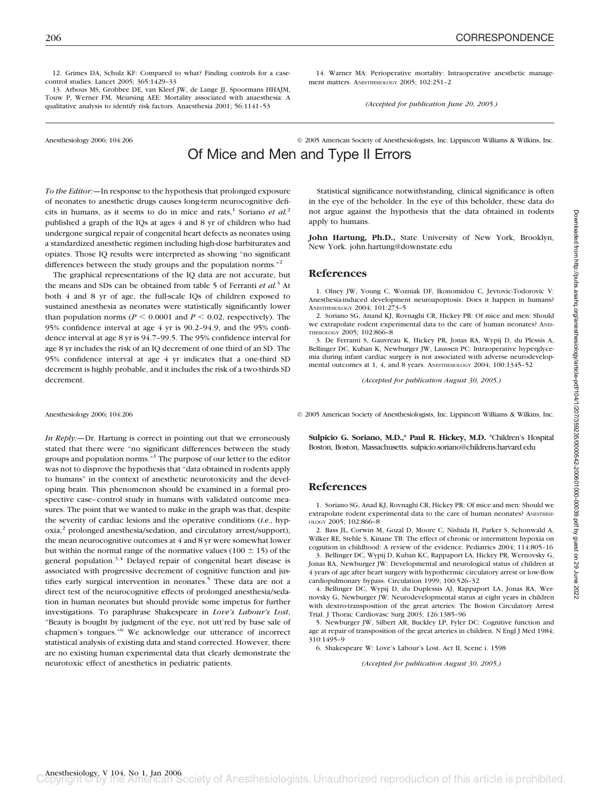12. Grimes DA, Schulz KF: Compared to what? Finding controls for a casecontrol studies. Lancet 2005; 365:1429–33

13. Arbous MS, Grobbee DE, van Kleef JW, de Lange JJ, Spoormans HHAJM, Touw P, Werner FM, Meursing AEE: Mortality associated with anaesthesia: A qualitative analysis to identify risk factors. Anaesthesia 2001; 56:1141–53

Anesthesiology 2006; 104:206 © 2005 American Society of Anesthesiologists, Inc. Lippincott Williams & Wilkins, Inc.

ment matters. ANESTHESIOLOGY 2005; 102:251–2

# Of Mice and Men and Type II Errors

*To the Editor:—*In response to the hypothesis that prolonged exposure of neonates to anesthetic drugs causes long-term neurocognitive deficits in humans, as it seems to do in mice and rats,<sup>1</sup> Soriano *et al.*<sup>2</sup> published a graph of the IQs at ages 4 and 8 yr of children who had undergone surgical repair of congenital heart defects as neonates using a standardized anesthetic regimen including high-dose barbiturates and opiates. Those IQ results were interpreted as showing "no significant differences between the study groups and the population norms."<sup>2</sup>

The graphical representations of the IQ data are not accurate, but the means and SDs can be obtained from table 5 of Ferranti *et al.*<sup>3</sup> At both 4 and 8 yr of age, the full-scale IQs of children exposed to sustained anesthesia as neonates were statistically significantly lower than population norms ( $P \le 0.0001$  and  $P \le 0.02$ , respectively). The 95% confidence interval at age 4 yr is 90.2–94.9, and the 95% confidence interval at age 8 yr is 94.7–99.5. The 95% confidence interval for age 8 yr includes the risk of an IQ decrement of one third of an SD. The 95% confidence interval at age 4 yr indicates that a one-third SD decrement is highly probable, and it includes the risk of a two-thirds SD decrement.

*In Reply:*—Dr. Hartung is correct in pointing out that we erroneously stated that there were "no significant differences between the study groups and population norms."1 The purpose of our letter to the editor was not to disprove the hypothesis that "data obtained in rodents apply to humans" in the context of anesthetic neurotoxicity and the developing brain. This phenomenon should be examined in a formal prospective case–control study in humans with validated outcome measures. The point that we wanted to make in the graph was that, despite the severity of cardiac lesions and the operative conditions (*i.e.*, hypoxia,<sup>2</sup> prolonged anesthesia/sedation, and circulatory arrest/support), the mean neurocognitive outcomes at 4 and 8 yr were somewhat lower but within the normal range of the normative values (100  $\pm$  15) of the general population.3,4 Delayed repair of congenital heart disease is associated with progressive decrement of cognitive function and justifies early surgical intervention in neonates.<sup>5</sup> These data are not a direct test of the neurocognitive effects of prolonged anesthesia/sedation in human neonates but should provide some impetus for further investigations. To paraphrase Shakespeare in *Love's Labour's Lost*, "Beauty is bought by judgment of the eye, not utt'red by base sale of chapmen's tongues."6 We acknowledge our utterance of incorrect statistical analysis of existing data and stand corrected. However, there are no existing human experimental data that clearly demonstrate the neurotoxic effect of anesthetics in pediatric patients.

Downloaded from http://pubs.asahq.org/anesthesiology/article-pdf/104/1/207/359235/0000542-200601000-00039.pdf by guest on 29 June 2022

Statistical significance notwithstanding, clinical significance is often in the eye of the beholder. In the eye of this beholder, these data do not argue against the hypothesis that the data obtained in rodents apply to humans.

14. Warner MA: Perioperative mortality: Intraoperative anesthetic manage-

*(Accepted for publication June 20, 2005.)*

**John Hartung, Ph.D.,** State University of New York, Brooklyn, New York. john.hartung@downstate.edu

### **References**

1. Olney JW, Young C, Wozniak DF, Ikonomidou C, Jevtovic-Todorovic V: Anesthesia-induced development neuroapoptosis: Does it happen in humans? ANESTHESIOLOGY 2004; 101:273–5

2. Soriano SG, Anand KJ, Rovnaghi CR, Hickey PR: Of mice and men: Should we extrapolate rodent experimental data to the care of human neonates? ANES-THESIOLOGY 2005; 102:866–8

3. De Ferranti S, Gauvreau K, Hickey PR, Jonas RA, Wypij D, du Plessis A, Bellinger DC, Kuban K, Newburger JW, Laussen PC: Intraoperative hyperglycemia during infant cardiac surgery is not associated with adverse neurodevelopmental outcomes at 1, 4, and 8 years. ANESTHESIOLOGY 2004; 100:1345-52

*(Accepted for publication August 30, 2005.)*

Anesthesiology 2006; 104:206 © 2005 American Society of Anesthesiologists, Inc. Lippincott Williams & Wilkins, Inc.

**Sulpicio G. Soriano, M.D.,\* Paul R. Hickey, M.D.** \*Children's Hospital Boston, Boston, Massachusetts. sulpicio.soriano@childrens.harvard.edu

#### **References**

1. Soriano SG, Anad KJ, Rovnaghi CR, Hickey PR: Of mice and men: Should we extrapolate rodent experimental data to the care of human neonates? ANESTHESI-OLOGY 2005; 102:866–8

2. Bass JL, Corwin M, Gozal D, Moore C, Nishida H, Parker S, Schonwald A, Wilker RE, Stehle S, Kinane TB: The effect of chronic or intermittent hypoxia on cognition in childhood: A review of the evidence. Pediatrics 2004; 114:805–16

3. Bellinger DC, Wypij D, Kuban KC, Rappaport LA, Hickey PR, Wernovsky G, Jonas RA, Newburger JW: Developmental and neurological status of children at 4 years of age after heart surgery with hypothermic circulatory arrest or low-flow cardiopulmonary bypass. Circulation 1999; 100:526–32

4. Bellinger DC, Wypij D, du Duplessis AJ, Rappaport LA, Jonas RA, Wernovsky G, Newburger JW: Neurodevelopmental status at eight years in children with dextro-transposition of the great arteries: The Boston Circulatory Arrest Trial. J Thorac Cardiovasc Surg 2003; 126:1385–96

5. Newburger JW, Silbert AR, Buckley LP, Fyler DC: Cognitive function and age at repair of transposition of the great arteries in children. N Engl J Med 1984; 310:1495–9

6. Shakespeare W: Love's Labour's Lost. Act II, Scene i. 1598

*(Accepted for publication August 30, 2005.)*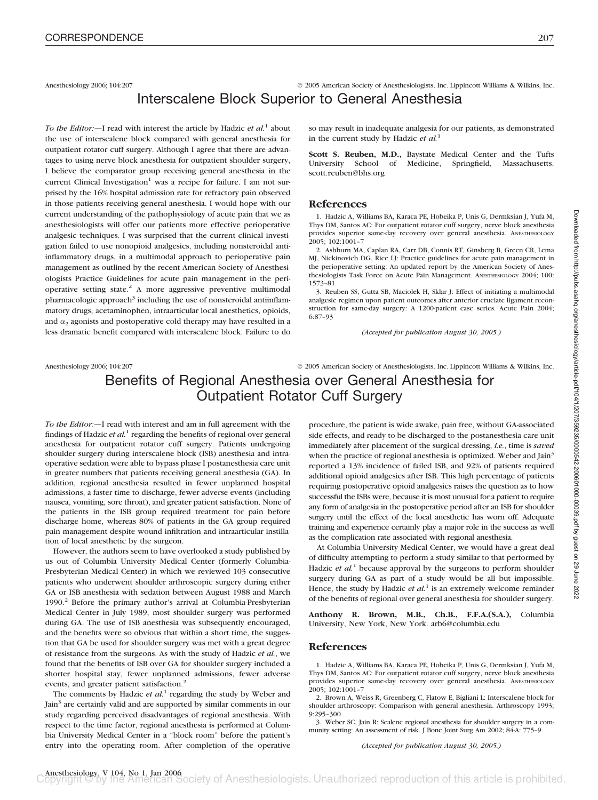## Interscalene Block Superior to General Anesthesia

*To the Editor:—*I read with interest the article by Hadzic *et al.*<sup>1</sup> about the use of interscalene block compared with general anesthesia for outpatient rotator cuff surgery. Although I agree that there are advantages to using nerve block anesthesia for outpatient shoulder surgery, I believe the comparator group receiving general anesthesia in the current Clinical Investigation<sup>1</sup> was a recipe for failure. I am not surprised by the 16% hospital admission rate for refractory pain observed in those patients receiving general anesthesia. I would hope with our current understanding of the pathophysiology of acute pain that we as anesthesiologists will offer our patients more effective perioperative analgesic techniques. I was surprised that the current clinical investigation failed to use nonopioid analgesics, including nonsteroidal antiinflammatory drugs, in a multimodal approach to perioperative pain management as outlined by the recent American Society of Anesthesiologists Practice Guidelines for acute pain management in the perioperative setting state.2 A more aggressive preventive multimodal pharmacologic approach<sup>3</sup> including the use of nonsteroidal antiinflammatory drugs, acetaminophen, intraarticular local anesthetics, opioids, and  $\alpha_2$  agonists and postoperative cold therapy may have resulted in a less dramatic benefit compared with interscalene block. Failure to do

so may result in inadequate analgesia for our patients, as demonstrated in the current study by Hadzic *et al.*<sup>1</sup>

**Scott S. Reuben, M.D.,** Baystate Medical Center and the Tufts University School of Medicine, Springfield, Massachusetts. scott.reuben@bhs.org

#### **References**

1. Hadzic A, Williams BA, Karaca PE, Hobeika P, Unis G, Dermksian J, Yufa M, Thys DM, Santos AC: For outpatient rotator cuff surgery, nerve block anesthesia provides superior same-day recovery over general anesthesia. ANESTHESIOLOGY 2005; 102:1001–7

2. Ashburn MA, Caplan RA, Carr DB, Connis RT, Ginsberg B, Green CR, Lema MJ, Nickinovich DG, Rice LJ: Practice guidelines for acute pain management in the perioperative setting: An updated report by the American Society of Anesthesiologists Task Force on Acute Pain Management. ANESTHESIOLOGY 2004; 100: 1573–81

3. Reuben SS, Gutta SB, Maciolek H, Sklar J: Effect of initiating a multimodal analgesic regimen upon patient outcomes after anterior cruciate ligament reconstruction for same-day surgery: A 1200-patient case series. Acute Pain 2004; 6:87–93

*(Accepted for publication August 30, 2005.)*

Anesthesiology 2006; 104:207 © 2005 American Society of Anesthesiologists, Inc. Lippincott Williams & Wilkins, Inc.

## Benefits of Regional Anesthesia over General Anesthesia for Outpatient Rotator Cuff Surgery

*To the Editor:—*I read with interest and am in full agreement with the findings of Hadzic *et al.*<sup>1</sup> regarding the benefits of regional over general anesthesia for outpatient rotator cuff surgery. Patients undergoing shoulder surgery during interscalene block (ISB) anesthesia and intraoperative sedation were able to bypass phase I postanesthesia care unit in greater numbers that patients receiving general anesthesia (GA). In addition, regional anesthesia resulted in fewer unplanned hospital admissions, a faster time to discharge, fewer adverse events (including nausea, vomiting, sore throat), and greater patient satisfaction. None of the patients in the ISB group required treatment for pain before discharge home, whereas 80% of patients in the GA group required pain management despite wound infiltration and intraarticular instillation of local anesthetic by the surgeon.

However, the authors seem to have overlooked a study published by us out of Columbia University Medical Center (formerly Columbia-Presbyterian Medical Center) in which we reviewed 103 consecutive patients who underwent shoulder arthroscopic surgery during either GA or ISB anesthesia with sedation between August 1988 and March 1990.<sup>2</sup> Before the primary author's arrival at Columbia-Presbyterian Medical Center in July 1989, most shoulder surgery was performed during GA. The use of ISB anesthesia was subsequently encouraged, and the benefits were so obvious that within a short time, the suggestion that GA be used for shoulder surgery was met with a great degree of resistance from the surgeons. As with the study of Hadzic *et al.*, we found that the benefits of ISB over GA for shoulder surgery included a shorter hospital stay, fewer unplanned admissions, fewer adverse events, and greater patient satisfaction.<sup>2</sup>

The comments by Hadzic *et al.*<sup>1</sup> regarding the study by Weber and Jain<sup>3</sup> are certainly valid and are supported by similar comments in our study regarding perceived disadvantages of regional anesthesia. With respect to the time factor, regional anesthesia is performed at Columbia University Medical Center in a "block room" before the patient's entry into the operating room. After completion of the operative

procedure, the patient is wide awake, pain free, without GA-associated side effects, and ready to be discharged to the postanesthesia care unit immediately after placement of the surgical dressing, *i.e.*, time is *saved* when the practice of regional anesthesia is optimized. Weber and Jain<sup>3</sup> reported a 13% incidence of failed ISB, and 92% of patients required additional opioid analgesics after ISB. This high percentage of patients requiring postoperative opioid analgesics raises the question as to how successful the ISBs were, because it is most unusual for a patient to require any form of analgesia in the postoperative period after an ISB for shoulder surgery until the effect of the local anesthetic has worn off. Adequate training and experience certainly play a major role in the success as well as the complication rate associated with regional anesthesia.

At Columbia University Medical Center, we would have a great deal of difficulty attempting to perform a study similar to that performed by Hadzic *et al.*<sup>1</sup> because approval by the surgeons to perform shoulder surgery during GA as part of a study would be all but impossible. Hence, the study by Hadzic  $et$   $al$ <sup>1</sup> is an extremely welcome reminder of the benefits of regional over general anesthesia for shoulder surgery.

**Anthony R. Brown, M.B., Ch.B., F.F.A.(S.A.),** Columbia University, New York, New York. arb6@columbia.edu

### **References**

1. Hadzic A, Williams BA, Karaca PE, Hobeika P, Unis G, Dermksian J, Yufa M, Thys DM, Santos AC: For outpatient rotator cuff surgery, nerve block anesthesia provides superior same-day recovery over general anesthesia. ANESTHESIOLOGY 2005; 102:1001–7

2. Brown A, Weiss R, Greenberg C, Flatow E, Bigliani L: Interscalene block for shoulder arthroscopy: Comparison with general anesthesia. Arthroscopy 1993; 9:295–300

3. Weber SC, Jain R: Scalene regional anesthesia for shoulder surgery in a community setting: An assessment of risk. J Bone Joint Surg Am 2002; 84-A: 775–9

*(Accepted for publication August 30, 2005.)*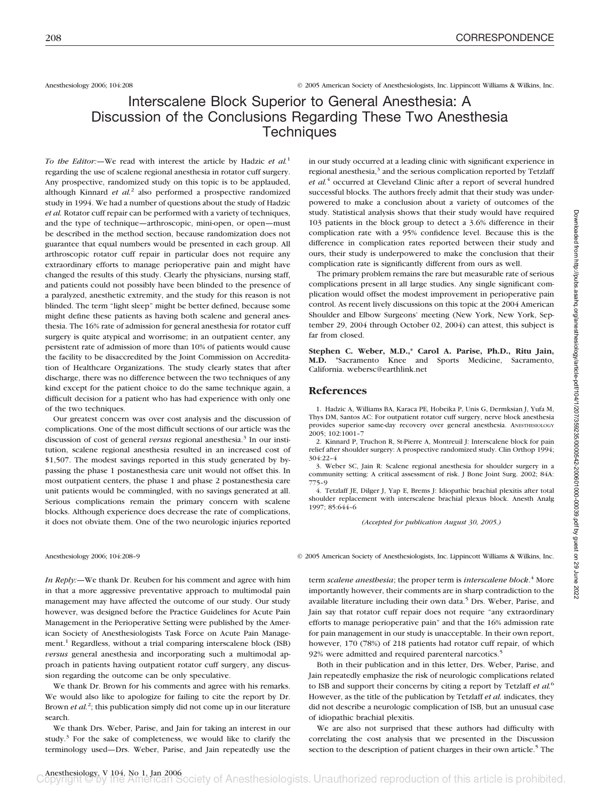Anesthesiology 2006; 104:208 © 2005 American Society of Anesthesiologists, Inc. Lippincott Williams & Wilkins, Inc.

## Interscalene Block Superior to General Anesthesia: A Discussion of the Conclusions Regarding These Two Anesthesia **Techniques**

*To the Editor:—*We read with interest the article by Hadzic *et al.*<sup>1</sup> regarding the use of scalene regional anesthesia in rotator cuff surgery. Any prospective, randomized study on this topic is to be applauded, although Kinnard *et al.*<sup>2</sup> also performed a prospective randomized study in 1994. We had a number of questions about the study of Hadzic *et al.* Rotator cuff repair can be performed with a variety of techniques, and the type of technique—arthroscopic, mini-open, or open—must be described in the method section, because randomization does not guarantee that equal numbers would be presented in each group. All arthroscopic rotator cuff repair in particular does not require any extraordinary efforts to manage perioperative pain and might have changed the results of this study. Clearly the physicians, nursing staff, and patients could not possibly have been blinded to the presence of a paralyzed, anesthetic extremity, and the study for this reason is not blinded. The term "light sleep" might be better defined, because some might define these patients as having both scalene and general anesthesia. The 16% rate of admission for general anesthesia for rotator cuff surgery is quite atypical and worrisome; in an outpatient center, any persistent rate of admission of more than 10% of patients would cause the facility to be disaccredited by the Joint Commission on Accreditation of Healthcare Organizations. The study clearly states that after discharge, there was no difference between the two techniques of any kind except for the patient choice to do the same technique again, a difficult decision for a patient who has had experience with only one of the two techniques.

Our greatest concern was over cost analysis and the discussion of complications. One of the most difficult sections of our article was the discussion of cost of general *versus* regional anesthesia.<sup>3</sup> In our institution, scalene regional anesthesia resulted in an increased cost of \$1,507. The modest savings reported in this study generated by bypassing the phase 1 postanesthesia care unit would not offset this. In most outpatient centers, the phase 1 and phase 2 postanesthesia care unit patients would be commingled, with no savings generated at all. Serious complications remain the primary concern with scalene blocks. Although experience does decrease the rate of complications, it does not obviate them. One of the two neurologic injuries reported

*In Reply:—*We thank Dr. Reuben for his comment and agree with him in that a more aggressive preventative approach to multimodal pain management may have affected the outcome of our study. Our study however, was designed before the Practice Guidelines for Acute Pain Management in the Perioperative Setting were published by the American Society of Anesthesiologists Task Force on Acute Pain Management.<sup>1</sup> Regardless, without a trial comparing interscalene block (ISB) *versus* general anesthesia and incorporating such a multimodal approach in patients having outpatient rotator cuff surgery, any discussion regarding the outcome can be only speculative.

We thank Dr. Brown for his comments and agree with his remarks. We would also like to apologize for failing to cite the report by Dr. Brown *et al.*<sup>2</sup>; this publication simply did not come up in our literature search.

We thank Drs. Weber, Parise, and Jain for taking an interest in our study.3 For the sake of completeness, we would like to clarify the terminology used—Drs. Weber, Parise, and Jain repeatedly use the

in our study occurred at a leading clinic with significant experience in regional anesthesia,<sup>3</sup> and the serious complication reported by Tetzlaff *et al.*<sup>4</sup> occurred at Cleveland Clinic after a report of several hundred successful blocks. The authors freely admit that their study was underpowered to make a conclusion about a variety of outcomes of the study. Statistical analysis shows that their study would have required 103 patients in the block group to detect a 3.6% difference in their complication rate with a 95% confidence level. Because this is the difference in complication rates reported between their study and ours, their study is underpowered to make the conclusion that their complication rate is significantly different from ours as well.

The primary problem remains the rare but measurable rate of serious complications present in all large studies. Any single significant complication would offset the modest improvement in perioperative pain control. As recent lively discussions on this topic at the 2004 American Shoulder and Elbow Surgeons' meeting (New York, New York, September 29, 2004 through October 02, 2004) can attest, this subject is far from closed.

**Stephen C. Weber, M.D.,\* Carol A. Parise, Ph.D., Ritu Jain, M.D.** \*Sacramento Knee and Sports Medicine, Sacramento, California. webersc@earthlink.net

#### **References**

1. Hadzic A, Williams BA, Karaca PE, Hobeika P, Unis G, Dermksian J, Yufa M, Thys DM, Santos AC: For outpatient rotator cuff surgery, nerve block anesthesia provides superior same-day recovery over general anesthesia. ANESTHESIOLOGY 2005; 102:1001–7

2. Kinnard P, Truchon R, St-Pierre A, Montreuil J: Interscalene block for pain relief after shoulder surgery: A prospective randomized study. Clin Orthop 1994; 304:22–4

3. Weber SC, Jain R: Scalene regional anesthesia for shoulder surgery in a community setting: A critical assessment of risk. J Bone Joint Surg. 2002; 84A: 775–9

4. Tetzlaff JE, Dilger J, Yap E, Brems J: Idiopathic brachial plexitis after total shoulder replacement with interscalene brachial plexus block. Anesth Analg 1997; 85:644–6

*(Accepted for publication August 30, 2005.)*

Anesthesiology 2006; 104:208-9 © 2005 American Society of Anesthesiologists, Inc. Lippincott Williams & Wilkins, Inc.

term *scalene anesthesia*; the proper term is *interscalene block*. <sup>4</sup> More importantly however, their comments are in sharp contradiction to the available literature including their own data.<sup>5</sup> Drs. Weber, Parise, and Jain say that rotator cuff repair does not require "any extraordinary efforts to manage perioperative pain" and that the 16% admission rate for pain management in our study is unacceptable. In their own report, however, 170 (78%) of 218 patients had rotator cuff repair, of which 92% were admitted and required parenteral narcotics.<sup>5</sup>

Both in their publication and in this letter, Drs. Weber, Parise, and Jain repeatedly emphasize the risk of neurologic complications related to ISB and support their concerns by citing a report by Tetzlaff *et al.*<sup>6</sup> However, as the title of the publication by Tetzlaff *et al.* indicates, they did not describe a neurologic complication of ISB, but an unusual case of idiopathic brachial plexitis.

We are also not surprised that these authors had difficulty with correlating the cost analysis that we presented in the Discussion section to the description of patient charges in their own article.<sup>5</sup> The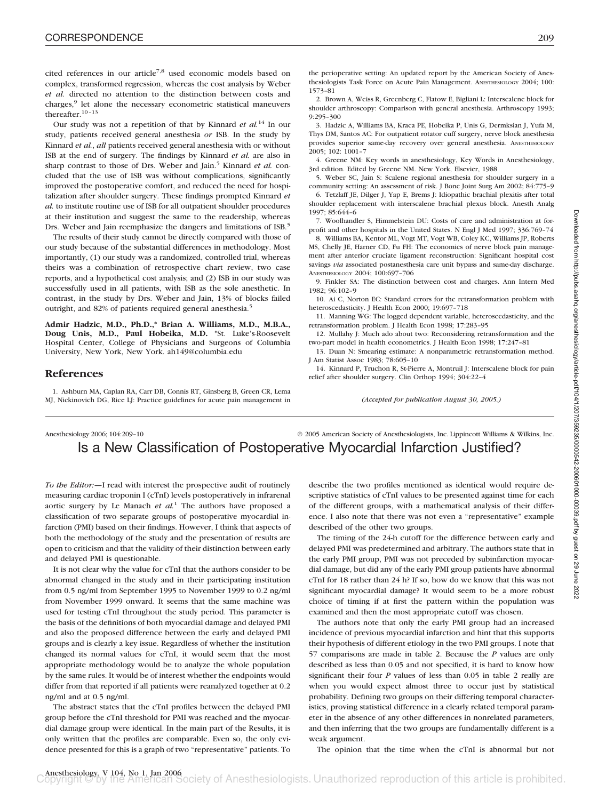cited references in our article<sup>7,8</sup> used economic models based on complex, transformed regression, whereas the cost analysis by Weber *et al.* directed no attention to the distinction between costs and charges,<sup>9</sup> let alone the necessary econometric statistical maneuvers thereafter.<sup>10-13</sup>

Our study was not a repetition of that by Kinnard *et al.*<sup>14</sup> In our study, patients received general anesthesia *or* ISB. In the study by Kinnard *et al.*, *all* patients received general anesthesia with or without ISB at the end of surgery. The findings by Kinnard *et al.* are also in sharp contrast to those of Drs. Weber and Jain.<sup>5</sup> Kinnard *et al.* concluded that the use of ISB was without complications, significantly improved the postoperative comfort, and reduced the need for hospitalization after shoulder surgery. These findings prompted Kinnard *et al.* to institute routine use of ISB for all outpatient shoulder procedures at their institution and suggest the same to the readership, whereas Drs. Weber and Jain reemphasize the dangers and limitations of ISB.<sup>5</sup>

The results of their study cannot be directly compared with those of our study because of the substantial differences in methodology. Most importantly, (1) our study was a randomized, controlled trial, whereas theirs was a combination of retrospective chart review, two case reports, and a hypothetical cost analysis; and (2) ISB in our study was successfully used in all patients, with ISB as the sole anesthetic. In contrast, in the study by Drs. Weber and Jain, 13% of blocks failed outright, and 82% of patients required general anesthesia.5

**Admir Hadzic, M.D., Ph.D.,\* Brian A. Williams, M.D., M.B.A., Doug Unis, M.D., Paul Hobeika, M.D.** \*St. Luke's-Roosevelt Hospital Center, College of Physicians and Surgeons of Columbia University, New York, New York. ah149@columbia.edu

### **References**

1. Ashburn MA, Caplan RA, Carr DB, Connis RT, Ginsberg B, Green CR, Lema MJ, Nickinovich DG, Rice LJ: Practice guidelines for acute pain management in the perioperative setting: An updated report by the American Society of Anesthesiologists Task Force on Acute Pain Management. ANESTHESIOLOGY 2004; 100: 1573–81

2. Brown A, Weiss R, Greenberg C, Flatow E, Bigliani L: Interscalene block for shoulder arthroscopy: Comparison with general anesthesia. Arthroscopy 1993; 9:295–300

3. Hadzic A, Williams BA, Kraca PE, Hobeika P, Unis G, Dermksian J, Yufa M, Thys DM, Santos AC: For outpatient rotator cuff surgery, nerve block anesthesia provides superior same-day recovery over general anesthesia. ANESTHESIOLOGY 2005; 102: 1001–7

4. Greene NM: Key words in anesthesiology, Key Words in Anesthesiology, 3rd edition. Edited by Greene NM. New York, Elsevier, 1988

5. Weber SC, Jain S: Scalene regional anesthesia for shoulder surgery in a community setting: An assessment of risk. J Bone Joint Surg Am 2002; 84:775–9

6. Tetzlaff JE, Dilger J, Yap E, Brems J: Idiopathic brachial plexitis after total shoulder replacement with interscalene brachial plexus block. Anesth Analg 1997; 85:644–6

7. Woolhandler S, Himmelstein DU: Costs of care and administration at forprofit and other hospitals in the United States. N Engl J Med 1997; 336:769–74

8. Williams BA, Kentor ML, Vogt MT, Vogt WB, Coley KC, Williams JP, Roberts MS, Chelly JE, Harner CD, Fu FH: The economics of nerve block pain management after anterior cruciate ligament reconstruction: Significant hospital cost savings *via* associated postanesthesia care unit bypass and same-day discharge. ANESTHESIOLOGY 2004; 100:697–706

9. Finkler SA: The distinction between cost and charges. Ann Intern Med 1982; 96:102–9

10. Ai C, Norton EC: Standard errors for the retransformation problem with heteroscedasticity. J Health Econ 2000; 19:697–718

11. Manning WG: The logged dependent variable, heteroscedasticity, and the retransformation problem. J Health Econ 1998; 17:283–95

12. Mullahy J: Much ado about two: Reconsidering retransformation and the two-part model in health econometrics. J Health Econ 1998; 17:247–81

13. Duan N: Smearing estimate: A nonparametric retransformation method. J Am Statist Assoc 1983; 78:605–10

14. Kinnard P, Truchon R, St-Pierre A, Montruil J: Interscalene block for pain relief after shoulder surgery. Clin Orthop 1994; 304:22–4

*(Accepted for publication August 30, 2005.)*

## Anesthesiology 2006; 104:209–10 © 2005 American Society of Anesthesiologists, Inc. Lippincott Williams & Wilkins, Inc. Is a New Classification of Postoperative Myocardial Infarction Justified?

*To the Editor:—*I read with interest the prospective audit of routinely measuring cardiac troponin I (cTnI) levels postoperatively in infrarenal aortic surgery by Le Manach *et al.*<sup>1</sup> The authors have proposed a classification of two separate groups of postoperative myocardial infarction (PMI) based on their findings. However, I think that aspects of both the methodology of the study and the presentation of results are open to criticism and that the validity of their distinction between early and delayed PMI is questionable.

It is not clear why the value for cTnI that the authors consider to be abnormal changed in the study and in their participating institution from 0.5 ng/ml from September 1995 to November 1999 to 0.2 ng/ml from November 1999 onward. It seems that the same machine was used for testing cTnI throughout the study period. This parameter is the basis of the definitions of both myocardial damage and delayed PMI and also the proposed difference between the early and delayed PMI groups and is clearly a key issue. Regardless of whether the institution changed its normal values for cTnI, it would seem that the most appropriate methodology would be to analyze the whole population by the same rules. It would be of interest whether the endpoints would differ from that reported if all patients were reanalyzed together at 0.2 ng/ml and at 0.5 ng/ml.

The abstract states that the cTnI profiles between the delayed PMI group before the cTnI threshold for PMI was reached and the myocardial damage group were identical. In the main part of the Results, it is only written that the profiles are comparable. Even so, the only evidence presented for this is a graph of two "representative" patients. To

describe the two profiles mentioned as identical would require descriptive statistics of cTnI values to be presented against time for each of the different groups, with a mathematical analysis of their difference. I also note that there was not even a "representative" example described of the other two groups.

The timing of the 24-h cutoff for the difference between early and delayed PMI was predetermined and arbitrary. The authors state that in the early PMI group, PMI was not preceded by subinfarction myocardial damage, but did any of the early PMI group patients have abnormal cTnI for 18 rather than 24 h? If so, how do we know that this was not significant myocardial damage? It would seem to be a more robust choice of timing if at first the pattern within the population was examined and then the most appropriate cutoff was chosen.

The authors note that only the early PMI group had an increased incidence of previous myocardial infarction and hint that this supports their hypothesis of different etiology in the two PMI groups. I note that 57 comparisons are made in table 2. Because the *P* values are only described as less than 0.05 and not specified, it is hard to know how significant their four *P* values of less than 0.05 in table 2 really are when you would expect almost three to occur just by statistical probability. Defining two groups on their differing temporal characteristics, proving statistical difference in a clearly related temporal parameter in the absence of any other differences in nonrelated parameters, and then inferring that the two groups are fundamentally different is a weak argument.

The opinion that the time when the cTnI is abnormal but not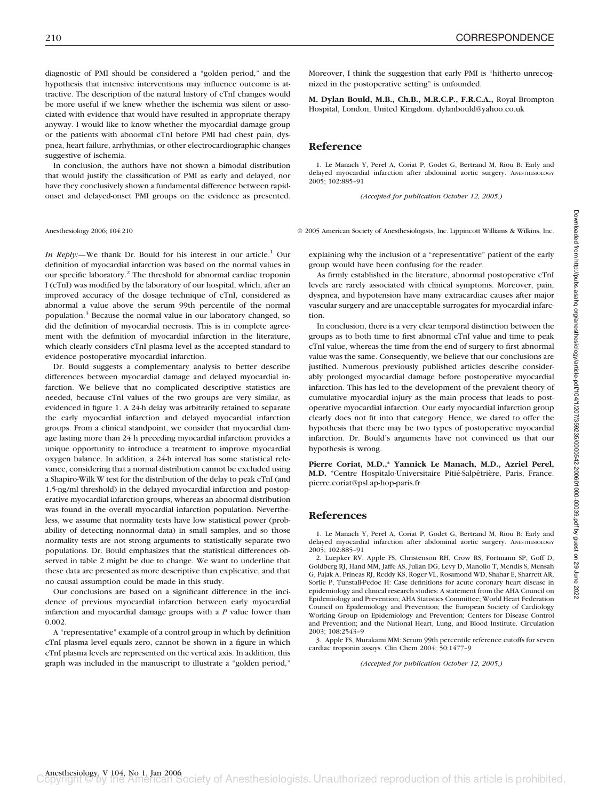diagnostic of PMI should be considered a "golden period," and the hypothesis that intensive interventions may influence outcome is attractive. The description of the natural history of cTnI changes would be more useful if we knew whether the ischemia was silent or associated with evidence that would have resulted in appropriate therapy anyway. I would like to know whether the myocardial damage group or the patients with abnormal cTnI before PMI had chest pain, dyspnea, heart failure, arrhythmias, or other electrocardiographic changes suggestive of ischemia.

In conclusion, the authors have not shown a bimodal distribution that would justify the classification of PMI as early and delayed, nor have they conclusively shown a fundamental difference between rapidonset and delayed-onset PMI groups on the evidence as presented.

*In Reply:*—We thank Dr. Bould for his interest in our article.<sup>1</sup> Our definition of myocardial infarction was based on the normal values in our specific laboratory.<sup>2</sup> The threshold for abnormal cardiac troponin I (cTnI) was modified by the laboratory of our hospital, which, after an improved accuracy of the dosage technique of cTnI, considered as abnormal a value above the serum 99th percentile of the normal population.3 Because the normal value in our laboratory changed, so did the definition of myocardial necrosis. This is in complete agreement with the definition of myocardial infarction in the literature, which clearly considers cTnI plasma level as the accepted standard to evidence postoperative myocardial infarction.

Dr. Bould suggests a complementary analysis to better describe differences between myocardial damage and delayed myocardial infarction. We believe that no complicated descriptive statistics are needed, because cTnI values of the two groups are very similar, as evidenced in figure 1. A 24-h delay was arbitrarily retained to separate the early myocardial infarction and delayed myocardial infarction groups. From a clinical standpoint, we consider that myocardial damage lasting more than 24 h preceding myocardial infarction provides a unique opportunity to introduce a treatment to improve myocardial oxygen balance. In addition, a 24-h interval has some statistical relevance, considering that a normal distribution cannot be excluded using a Shapiro-Wilk W test for the distribution of the delay to peak cTnI (and 1.5-ng/ml threshold) in the delayed myocardial infarction and postoperative myocardial infarction groups, whereas an abnormal distribution was found in the overall myocardial infarction population. Nevertheless, we assume that normality tests have low statistical power (probability of detecting nonnormal data) in small samples, and so those normality tests are not strong arguments to statistically separate two populations. Dr. Bould emphasizes that the statistical differences observed in table 2 might be due to change. We want to underline that these data are presented as more descriptive than explicative, and that no causal assumption could be made in this study.

Our conclusions are based on a significant difference in the incidence of previous myocardial infarction between early myocardial infarction and myocardial damage groups with a *P* value lower than 0.002.

A "representative" example of a control group in which by definition cTnI plasma level equals zero, cannot be shown in a figure in which cTnI plasma levels are represented on the vertical axis. In addition, this graph was included in the manuscript to illustrate a "golden period,"

Moreover, I think the suggestion that early PMI is "hitherto unrecognized in the postoperative setting" is unfounded.

**M. Dylan Bould, M.B., Ch.B., M.R.C.P., F.R.C.A.,** Royal Brompton Hospital, London, United Kingdom. dylanbould@yahoo.co.uk

#### **Reference**

1. Le Manach Y, Perel A, Coriat P, Godet G, Bertrand M, Riou B: Early and delayed myocardial infarction after abdominal aortic surgery. ANESTHESIOLOGY 2005; 102:885–91

*(Accepted for publication October 12, 2005.)*

Anesthesiology 2006; 104:210 © 2005 American Society of Anesthesiologists, Inc. Lippincott Williams & Wilkins, Inc.

explaining why the inclusion of a "representative" patient of the early group would have been confusing for the reader.

As firmly established in the literature, abnormal postoperative cTnI levels are rarely associated with clinical symptoms. Moreover, pain, dyspnea, and hypotension have many extracardiac causes after major vascular surgery and are unacceptable surrogates for myocardial infarction.

In conclusion, there is a very clear temporal distinction between the groups as to both time to first abnormal cTnI value and time to peak cTnI value, whereas the time from the end of surgery to first abnormal value was the same. Consequently, we believe that our conclusions are justified. Numerous previously published articles describe considerably prolonged myocardial damage before postoperative myocardial infarction. This has led to the development of the prevalent theory of cumulative myocardial injury as the main process that leads to postoperative myocardial infarction. Our early myocardial infarction group clearly does not fit into that category. Hence, we dared to offer the hypothesis that there may be two types of postoperative myocardial infarction. Dr. Bould's arguments have not convinced us that our hypothesis is wrong.

**Pierre Coriat, M.D.,\* Yannick Le Manach, M.D., Azriel Perel,** M.D. \*Centre Hospitalo-Universitaire Pitié-Salpêtrière, Paris, France. pierre.coriat@psl.ap-hop-paris.fr

#### **References**

1. Le Manach Y, Perel A, Coriat P, Godet G, Bertrand M, Riou B: Early and delayed myocardial infarction after abdominal aortic surgery. ANESTHESIOLOGY 2005; 102:885–91

2. Luepker RV, Apple FS, Christenson RH, Crow RS, Fortmann SP, Goff D, Goldberg RJ, Hand MM, Jaffe AS, Julian DG, Levy D, Manolio T, Mendis S, Mensah G, Pajak A, Prineas RJ, Reddy KS, Roger VL, Rosamond WD, Shahar E, Sharrett AR, Sorlie P, Tunstall-Pedoe H: Case definitions for acute coronary heart disease in epidemiology and clinical research studies: A statement from the AHA Council on Epidemiology and Prevention; AHA Statistics Committee; World Heart Federation Council on Epidemiology and Prevention; the European Society of Cardiology Working Group on Epidemiology and Prevention; Centers for Disease Control and Prevention; and the National Heart, Lung, and Blood Institute. Circulation 2003; 108:2543–9

3. Apple FS, Murakami MM: Serum 99th percentile reference cutoffs for seven cardiac troponin assays. Clin Chem 2004; 50:1477–9

*(Accepted for publication October 12, 2005.)*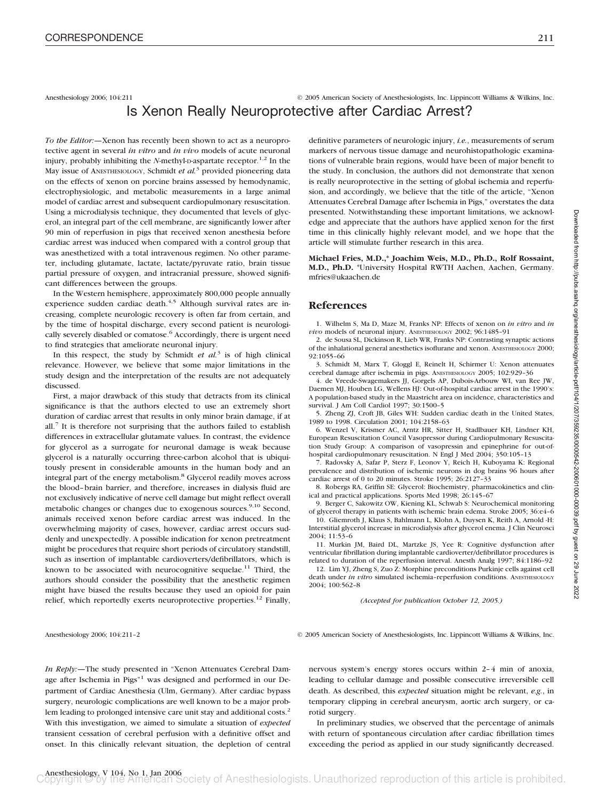Anesthesiology 2006; 104:211 © 2005 American Society of Anesthesiologists, Inc. Lippincott Williams & Wilkins, Inc.

# Is Xenon Really Neuroprotective after Cardiac Arrest?

*To the Editor:—*Xenon has recently been shown to act as a neuroprotective agent in several *in vitro* and *in vivo* models of acute neuronal injury, probably inhibiting the *N*-methyl-D-aspartate receptor.<sup>1,2</sup> In the May issue of ANESTHESIOLOGY, Schmidt et al.<sup>3</sup> provided pioneering data on the effects of xenon on porcine brains assessed by hemodynamic, electrophysiologic, and metabolic measurements in a large animal model of cardiac arrest and subsequent cardiopulmonary resuscitation. Using a microdialysis technique, they documented that levels of glycerol, an integral part of the cell membrane, are significantly lower after 90 min of reperfusion in pigs that received xenon anesthesia before cardiac arrest was induced when compared with a control group that was anesthetized with a total intravenous regimen. No other parameter, including glutamate, lactate, lactate/pyruvate ratio, brain tissue partial pressure of oxygen, and intracranial pressure, showed significant differences between the groups.

In the Western hemisphere, approximately 800,000 people annually experience sudden cardiac death.<sup>4,5</sup> Although survival rates are increasing, complete neurologic recovery is often far from certain, and by the time of hospital discharge, every second patient is neurologically severely disabled or comatose.<sup>6</sup> Accordingly, there is urgent need to find strategies that ameliorate neuronal injury.

In this respect, the study by Schmidt  $et \text{ } al^3$  is of high clinical relevance. However, we believe that some major limitations in the study design and the interpretation of the results are not adequately discussed.

First, a major drawback of this study that detracts from its clinical significance is that the authors elected to use an extremely short duration of cardiac arrest that results in only minor brain damage, if at all.<sup>7</sup> It is therefore not surprising that the authors failed to establish differences in extracellular glutamate values. In contrast, the evidence for glycerol as a surrogate for neuronal damage is weak because glycerol is a naturally occurring three-carbon alcohol that is ubiquitously present in considerable amounts in the human body and an integral part of the energy metabolism.8 Glycerol readily moves across the blood–brain barrier, and therefore, increases in dialysis fluid are not exclusively indicative of nerve cell damage but might reflect overall metabolic changes or changes due to exogenous sources.<sup>9,10</sup> Second, animals received xenon before cardiac arrest was induced. In the overwhelming majority of cases, however, cardiac arrest occurs suddenly and unexpectedly. A possible indication for xenon pretreatment might be procedures that require short periods of circulatory standstill, such as insertion of implantable cardioverters/defibrillators, which is known to be associated with neurocognitive sequelae.<sup>11</sup> Third, the authors should consider the possibility that the anesthetic regimen might have biased the results because they used an opioid for pain relief, which reportedly exerts neuroprotective properties.<sup>12</sup> Finally,

definitive parameters of neurologic injury, *i.e.*, measurements of serum markers of nervous tissue damage and neurohistopathologic examinations of vulnerable brain regions, would have been of major benefit to the study. In conclusion, the authors did not demonstrate that xenon is really neuroprotective in the setting of global ischemia and reperfusion, and accordingly, we believe that the title of the article, "Xenon Attenuates Cerebral Damage after Ischemia in Pigs," overstates the data presented. Notwithstanding these important limitations, we acknowledge and appreciate that the authors have applied xenon for the first time in this clinically highly relevant model, and we hope that the article will stimulate further research in this area.

**Michael Fries, M.D.,\* Joachim Weis, M.D., Ph.D., Rolf Rossaint, M.D., Ph.D.** \*University Hospital RWTH Aachen, Aachen, Germany. mfries@ukaachen.de

#### **References**

1. Wilhelm S, Ma D, Maze M, Franks NP: Effects of xenon on *in vitro* and *in vivo* models of neuronal injury. ANESTHESIOLOGY 2002; 96:1485–91

2. de Sousa SL, Dickinson R, Lieb WR, Franks NP: Contrasting synaptic actions of the inhalational general anesthetics isoflurane and xenon. ANESTHESIOLOGY 2000; 92:1055–66

3. Schmidt M, Marx T, Gloggl E, Reinelt H, Schirmer U: Xenon attenuates cerebral damage after ischemia in pigs. ANESTHESIOLOGY 2005; 102:929–36

4. de Vreede-Swagemakers JJ, Gorgels AP, Dubois-Arbouw WI, van Ree JW, Daemen MJ, Houben LG, Wellens HJ: Out-of-hospital cardiac arrest in the 1990's: A population-based study in the Maastricht area on incidence, characteristics and survival. J Am Coll Cardiol 1997; 30:1500–5

5. Zheng ZJ, Croft JB, Giles WH: Sudden cardiac death in the United States, 1989 to 1998. Circulation 2001; 104:2158–63

6. Wenzel V, Krismer AC, Arntz HR, Sitter H, Stadlbauer KH, Lindner KH, European Resuscitation Council Vasopressor during Cardiopulmonary Resuscitation Study Group: A comparison of vasopressin and epinephrine for out-ofhospital cardiopulmonary resuscitation. N Engl J Med 2004; 350:105–13

7. Radovsky A, Safar P, Sterz F, Leonov Y, Reich H, Kuboyama K: Regional prevalence and distribution of ischemic neurons in dog brains 96 hours after cardiac arrest of 0 to 20 minutes. Stroke 1995; 26:2127–33

8. Robergs RA, Griffin SE: Glycerol: Biochemistry, pharmacokinetics and clinical and practical applications. Sports Med 1998; 26:145–67

9. Berger C, Sakowitz OW, Kiening KL, Schwab S: Neurochemical monitoring of glycerol therapy in patients with ischemic brain edema. Stroke 2005; 36:e4–6

10. Gliemroth J, Klaus S, Bahlmann L, Klohn A, Duysen K, Reith A, Arnold -H: Interstitial glycerol increase in microdialysis after glycerol enema. J Clin Neurosci 2004; 11:53–6

11. Murkin JM, Baird DL, Martzke JS, Yee R: Cognitive dysfunction after ventricular fibrillation during implantable cardioverter/defibrillator procedures is related to duration of the reperfusion interval. Anesth Analg 1997; 84:1186–92

12. Lim YJ, Zheng S, Zuo Z: Morphine preconditions Purkinje cells against cell death under *in vitro* simulated ischemia-reperfusion conditions. ANESTHESIOLOGY 2004; 100:562–8

*(Accepted for publication October 12, 2005.)*

Anesthesiology 2006; 104:211-2 © 2005 American Society of Anesthesiologists, Inc. Lippincott Williams & Wilkins, Inc.

*In Reply:—*The study presented in "Xenon Attenuates Cerebral Damage after Ischemia in Pigs"<sup>1</sup> was designed and performed in our Department of Cardiac Anesthesia (Ulm, Germany). After cardiac bypass surgery, neurologic complications are well known to be a major problem leading to prolonged intensive care unit stay and additional costs.<sup>2</sup> With this investigation, we aimed to simulate a situation of *expected* transient cessation of cerebral perfusion with a definitive offset and onset. In this clinically relevant situation, the depletion of central

nervous system's energy stores occurs within 2–4 min of anoxia, leading to cellular damage and possible consecutive irreversible cell death. As described, this *expected* situation might be relevant, *e.g.*, in temporary clipping in cerebral aneurysm, aortic arch surgery, or carotid surgery.

In preliminary studies, we observed that the percentage of animals with return of spontaneous circulation after cardiac fibrillation times exceeding the period as applied in our study significantly decreased.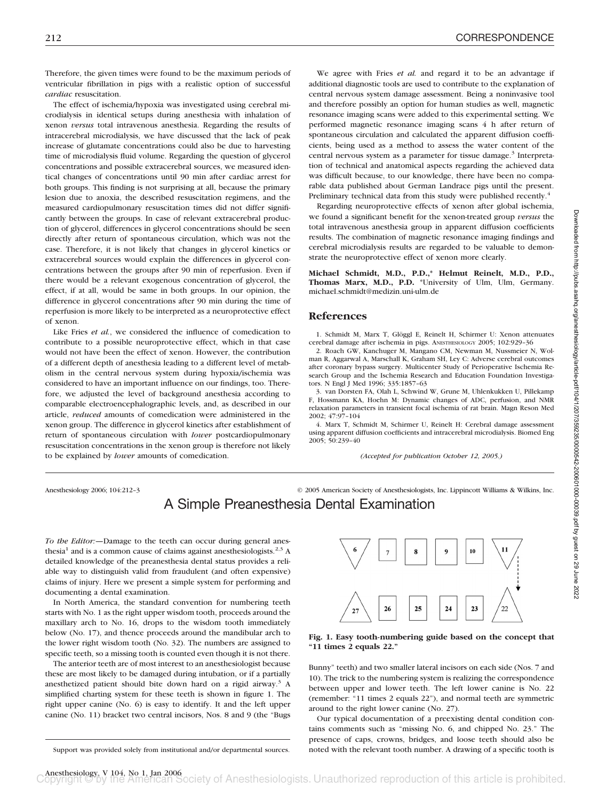Therefore, the given times were found to be the maximum periods of ventricular fibrillation in pigs with a realistic option of successful *cardiac* resuscitation.

The effect of ischemia/hypoxia was investigated using cerebral microdialysis in identical setups during anesthesia with inhalation of xenon *versus* total intravenous anesthesia. Regarding the results of intracerebral microdialysis, we have discussed that the lack of peak increase of glutamate concentrations could also be due to harvesting time of microdialysis fluid volume. Regarding the question of glycerol concentrations and possible extracerebral sources, we measured identical changes of concentrations until 90 min after cardiac arrest for both groups. This finding is not surprising at all, because the primary lesion due to anoxia, the described resuscitation regimens, and the measured cardiopulmonary resuscitation times did not differ significantly between the groups. In case of relevant extracerebral production of glycerol, differences in glycerol concentrations should be seen directly after return of spontaneous circulation, which was not the case. Therefore, it is not likely that changes in glycerol kinetics or extracerebral sources would explain the differences in glycerol concentrations between the groups after 90 min of reperfusion. Even if there would be a relevant exogenous concentration of glycerol, the effect, if at all, would be same in both groups. In our opinion, the difference in glycerol concentrations after 90 min during the time of reperfusion is more likely to be interpreted as a neuroprotective effect of xenon.

Like Fries *et al.*, we considered the influence of comedication to contribute to a possible neuroprotective effect, which in that case would not have been the effect of xenon. However, the contribution of a different depth of anesthesia leading to a different level of metabolism in the central nervous system during hypoxia/ischemia was considered to have an important influence on our findings, too. Therefore, we adjusted the level of background anesthesia according to comparable electroencephalographic levels, and, as described in our article, *reduced* amounts of comedication were administered in the xenon group. The difference in glycerol kinetics after establishment of return of spontaneous circulation with *lower* postcardiopulmonary resuscitation concentrations in the xenon group is therefore not likely to be explained by *lower* amounts of comedication.

We agree with Fries *et al.* and regard it to be an advantage if additional diagnostic tools are used to contribute to the explanation of central nervous system damage assessment. Being a noninvasive tool and therefore possibly an option for human studies as well, magnetic resonance imaging scans were added to this experimental setting. We performed magnetic resonance imaging scans 4 h after return of spontaneous circulation and calculated the apparent diffusion coefficients, being used as a method to assess the water content of the central nervous system as a parameter for tissue damage.<sup>3</sup> Interpretation of technical and anatomical aspects regarding the achieved data was difficult because, to our knowledge, there have been no comparable data published about German Landrace pigs until the present. Preliminary technical data from this study were published recently.<sup>4</sup>

Regarding neuroprotective effects of xenon after global ischemia, we found a significant benefit for the xenon-treated group *versus* the total intravenous anesthesia group in apparent diffusion coefficients results. The combination of magnetic resonance imaging findings and cerebral microdialysis results are regarded to be valuable to demonstrate the neuroprotective effect of xenon more clearly.

**Michael Schmidt, M.D., P.D.,\* Helmut Reinelt, M.D., P.D., Thomas Marx, M.D., P.D.** \*University of Ulm, Ulm, Germany. michael.schmidt@medizin.uni-ulm.de

### **References**

1. Schmidt M, Marx T, Glöggl E, Reinelt H, Schirmer U: Xenon attenuates cerebral damage after ischemia in pigs. ANESTHESIOLOGY 2005; 102:929–36

2. Roach GW, Kanchuger M, Mangano CM, Newman M, Nussmeier N, Wolman R, Aggarwal A, Marschall K, Graham SH, Ley C: Adverse cerebral outcomes after coronary bypass surgery. Multicenter Study of Perioperative Ischemia Research Group and the Ischemia Research and Education Foundation Investigators. N Engl J Med 1996; 335:1857–63

3. van Dorsten FA, Olah L, Schwind W, Grune M, Uhlenkukken U, Pillekamp F, Hossmann KA, Hoehn M: Dynamic changes of ADC, perfusion, and NMR relaxation parameters in transient focal ischemia of rat brain. Magn Reson Med 2002; 47:97–104

4. Marx T, Schmidt M, Schirmer U, Reinelt H: Cerebral damage assessment using apparent diffusion coefficients and intracerebral microdialysis. Biomed Eng 2005; 50:239–40

*(Accepted for publication October 12, 2005.)*

Anesthesiology 2006; 104:212–3 © 2005 American Society of Anesthesiologists, Inc. Lippincott Williams & Wilkins, Inc.

## A Simple Preanesthesia Dental Examination

*To the Editor:—*Damage to the teeth can occur during general anesthesia<sup>1</sup> and is a common cause of claims against anesthesiologists.<sup>2,3</sup> A detailed knowledge of the preanesthesia dental status provides a reliable way to distinguish valid from fraudulent (and often expensive) claims of injury. Here we present a simple system for performing and documenting a dental examination.

In North America, the standard convention for numbering teeth starts with No. 1 as the right upper wisdom tooth, proceeds around the maxillary arch to No. 16, drops to the wisdom tooth immediately below (No. 17), and thence proceeds around the mandibular arch to the lower right wisdom tooth (No. 32). The numbers are assigned to specific teeth, so a missing tooth is counted even though it is not there.

The anterior teeth are of most interest to an anesthesiologist because these are most likely to be damaged during intubation, or if a partially anesthetized patient should bite down hard on a rigid airway.<sup>3</sup> A simplified charting system for these teeth is shown in figure 1. The right upper canine (No. 6) is easy to identify. It and the left upper canine (No. 11) bracket two central incisors, Nos. 8 and 9 (the "Bugs



#### **Fig. 1. Easy tooth-numbering guide based on the concept that "11 times 2 equals 22."**

Bunny" teeth) and two smaller lateral incisors on each side (Nos. 7 and 10). The trick to the numbering system is realizing the correspondence between upper and lower teeth. The left lower canine is No. 22 (remember: "11 times 2 equals 22"), and normal teeth are symmetric around to the right lower canine (No. 27).

Our typical documentation of a preexisting dental condition contains comments such as "missing No. 6, and chipped No. 23." The presence of caps, crowns, bridges, and loose teeth should also be Support was provided solely from institutional and/or departmental sources. noted with the relevant tooth number. A drawing of a specific tooth is